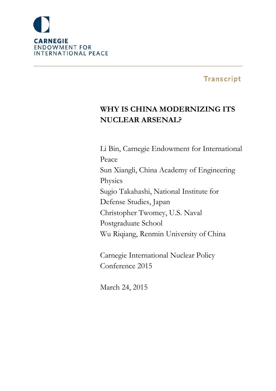

# **Transcript**

# **WHY IS CHINA MODERNIZING ITS NUCLEAR ARSENAL?**

Li Bin, Carnegie Endowment for International Peace Sun Xiangli, China Academy of Engineering Physics Sugio Takahashi, National Institute for Defense Studies, Japan Christopher Twomey, U.S. Naval Postgraduate School Wu Riqiang, Renmin University of China

Carnegie International Nuclear Policy Conference 2015

March 24, 2015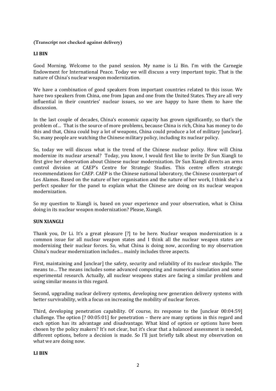## **(Transcript not checked against delivery)**

## **LI BIN**

Good Morning. Welcome to the panel session. My name is Li Bin. I'm with the Carnegie Endowment for International Peace. Today we will discuss a very important topic. That is the nature of China's nuclear weapon modernization.

We have a combination of good speakers from important countries related to this issue. We have two speakers from China, one from Japan and one from the United States. They are all very influential in their countries' nuclear issues, so we are happy to have them to have the discussion.

In the last couple of decades, China's economic capacity has grown significantly, so that's the problem of… That is the source of more problems, because China is rich, China has money to do this and that, China could buy a lot of weapons, China could produce a lot of military [unclear]. So, many people are watching the Chinese military policy, including its nuclear policy.

So, today we will discuss what is the trend of the Chinese nuclear policy. How will China modernize its nuclear arsenal? Today, you know, I would first like to invite Dr Sun Xiangli to first give her observation about Chinese nuclear modernization. Dr Sun Xiangli directs an arms control division at CAEP's Centre for Strategic Studies. This centre offers strategic recommendations for CAEP. CAEP is the Chinese national laboratory, the Chinese counterpart of Los Alamos. Based on the nature of her organisation and the nature of her work, I think she's a perfect speaker for the panel to explain what the Chinese are doing on its nuclear weapon modernization.

So my question to Xiangli is, based on your experience and your observation, what is China doing in its nuclear weapon modernization? Please, Xiangli.

# **SUN XIANGLI**

Thank you, Dr Li. It's a great pleasure [?] to be here. Nuclear weapon modernization is a common issue for all nuclear weapon states and I think all the nuclear weapon states are modernizing their nuclear forces. So, what China is doing now, according to my observation China's nuclear modernization includes… mainly includes three aspects.

First, maintaining and [unclear] the safety, security and reliability of its nuclear stockpile. The means to… The means includes some advanced computing and numerical simulation and some experimental research. Actually, all nuclear weapons states are facing a similar problem and using similar means in this regard.

Second, upgrading nuclear delivery systems, developing new generation delivery systems with better survivability, with a focus on increasing the mobility of nuclear forces.

Third, developing penetration capability. Of course, its response to the [unclear 00:04:59] challenge. The option [? 00:05:01] for penetration – there are many options in this regard and each option has its advantage and disadvantage. What kind of option or options have been chosen by the policy makers? It's not clear, but it's clear that a balanced assessment is needed, different options, before a decision is made. So I'll just briefly talk about my observation on what we are doing now.

#### **LI BIN**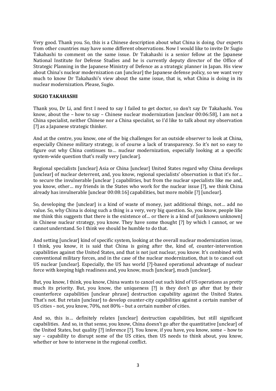Very good. Thank you. So, this is a Chinese description about what China is doing. Our experts from other countries may have some different observations. Now I would like to invite Dr Sugio Takahashi to comment on the same issue. Dr Takahashi is a senior fellow at the Japanese National Institute for Defense Studies and he is currently deputy director of the Office of Strategic Planning in the Japanese Ministry of Defence as a strategic planner in Japan. His view about China's nuclear modernization can [unclear] the Japanese defense policy, so we want very much to know Dr Takahashi's view about the same issue, that is, what China is doing in its nuclear modernization. Please, Sugio.

#### **SUGIO TAKAHASHI**

Thank you, Dr Li, and first I need to say I failed to get doctor, so don't say Dr Takahashi. You know, about the – how to say – Chinese nuclear modernization [unclear 00:06:58], I am not a China specialist, neither Chinese nor a China specialist, so I'd like to talk about my observation [?] as a Japanese strategic thinker.

And at the centre, you know, one of the big challenges for an outside observer to look at China, especially Chinese military strategy, is of course a lack of transparency. So it's not so easy to figure out why China continues to… nuclear modernization, especially looking at a specific system-wide question that's really very [unclear].

Regional specialists [unclear] Asia or China [unclear] United States regard why China develops [unclear] of nuclear deterrent, and, you know, regional specialists' observation is that it's for... to secure the invulnerable [unclear ] capabilities, but from the nuclear specialists like me and, you know, other… my friends in the States who work for the nuclear issue [?], we think China already has invulnerable [unclear 00:08:16] capabilities, but more mobile [?] [unclear].

So, developing the [unclear] is a kind of waste of money, just additional things, not… add no value. So, why China is doing such a thing is a very, very big question. So, you know, people like me think this suggests that there is the existence of… or there is a kind of [unknown unknown] in Chinese nuclear strategy, you know. They have some thought [?] by which I cannot, or we cannot understand. So I think we should be humble to do that.

And setting [unclear] kind of specific system, looking at the overall nuclear modernization issue, I think, you know, it is said that China is going after the, kind of, counter-intervention capabilities against the United States, and that is not just nuclear, you know. It's combined with conventional military forces, and in the case of the nuclear modernization, that is to cancel out US nuclear [unclear]. Especially, the US has world [?]-based operational advantage of nuclear force with keeping high readiness and, you know, much [unclear], much [unclear].

But, you know, I think, you know, China wants to cancel out such kind of US operations as pretty much its priority. But, you know, the uniqueness [?] is they don't go after that by their counterforce capabilities [unclear phrase] destruction capability against the United States. That's not. But retain [unclear] to develop counter-city capabilities against a certain number of US cities – not, you know, 70%, not 80% – but a certain number of cities.

And so, this is... definitely relates [unclear] destruction capabilities, but still significant capabilities. And so, in that sense, you know, China doesn't go after the quantitative [unclear] of the United States, but quality [?] inference [?]. You know, if you have, you know, some – how to say – capability to disrupt some of the US cities, then US needs to think about, you know, whether or how to intervene in the regional conflict.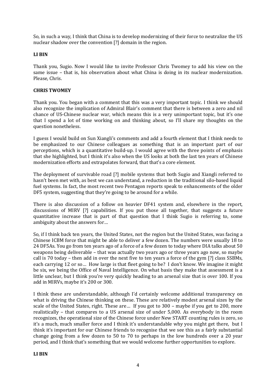So, in such a way, I think that China is to develop modernizing of their force to neutralize the US nuclear shadow over the convention [?] domain in the region.

## **LI BIN**

Thank you, Sugio. Now I would like to invite Professor Chris Twomey to add his view on the same issue – that is, his observation about what China is doing in its nuclear modernization. Please, Chris.

## **CHRIS TWOMEY**

Thank you. You began with a comment that this was a very important topic. I think we should also recognize the implication of Admiral Blair's comment that there is between a zero and nil chance of US-Chinese nuclear war, which means this is a very unimportant topic, but it's one that I spend a lot of time working on and thinking about, so I'll share my thoughts on the question nonetheless.

I guess I would build on Sun Xiangli's comments and add a fourth element that I think needs to be emphasized to our Chinese colleagues as something that is an important part of our perceptions, which is a quantitative build-up. I would agree with the three points of emphasis that she highlighted, but I think it's also when the US looks at both the last ten years of Chinese modernization efforts and extrapolates forward, that that's a core element.

The deployment of survivable road [?] mobile systems that both Sugio and Xiangli referred to hasn't been met with, as best we can understand, a reduction in the traditional silo-based liquid fuel systems. In fact, the most recent two Pentagon reports speak to enhancements of the older DF5 system, suggesting that they're going to be around for a while.

There is also discussion of a follow on heavier DF41 system and, elsewhere in the report, discussions of MIRV [?] capabilities. If you put those all together, that suggests a future quantitative increase that is part of that question that I think Sugio is referring to, some ambiguity about the answers for…

So, if I think back ten years, the United States, not the region but the United States, was facing a Chinese ICBM force that might be able to deliver a few dozen. The numbers were usually 18 to 24 DF5As. You go from ten years ago of a force of a few dozen to today where DIA talks about 50 weapons being deliverable – that was actually two years ago or three years ago now, so maybe call is 70 today – then add in over the next five to ten years a force of the gym [?] class SSBMs, each carrying 12 or so… How large is that fleet going to be? I don't know. We imagine it might be six, we being the Office of Naval Intelligence. On what basis they make that assessment is a little unclear, but I think you're very quickly heading to an arsenal size that is over 100. If you add in MIRVs, maybe it's 200 or 300.

I think these are understandable, although I'd certainly welcome additional transparency on what is driving the Chinese thinking on these. These are relatively modest arsenal sizes by the scale of the United States, right. These are… If you got to 300 – maybe if you get to 200, more realistically – that compares to a US arsenal size of under 5,000. As everybody in the room recognizes, the operational size of the Chinese force under New START counting rules is zero, so it's a much, much smaller force and I think it's understandable why you might get there, but I think it's important for our Chinese friends to recognise that we see this as a fairly substantial change going from a few dozen to 50 to 70 to perhaps in the low hundreds over a 20 year period, and I think that's something that we would welcome further opportunities to explore.

#### **LI BIN**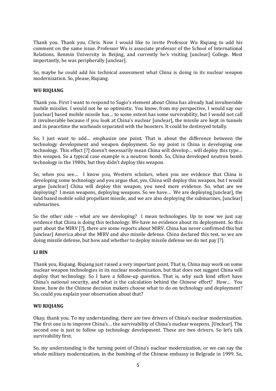Thank you. Thank you, Chris. Now I would like to invite Professor Wu Riqiang to add his comment on the same issue. Professor Wu is associate professor of the School of International Relations, Renmin University in Beijing, and currently he's visiting [unclear] College. Most importantly, he was peripherally [unclear].

So, maybe he could add his technical assessment what China is doing in its nuclear weapon modernization. So, please, Riqiang.

## **WU RIQIANG**

Thank you. First I want to respond to Sugio's element about China has already had invulnerable mobile missiles. I would not be so optimistic. You know, from my perspective, I would say our [unclear] based mobile missile has… to some extent has some survivability, but I would not call it invulnerable because if you look at China's nuclear [unclear], the missile are kept in tunnels and in peacetime the warheads separated with the boosters. It could be destroyed totally.

So, I just want to add… emphasize one point. That is about the difference between the technology development and weapon deployment. So my point is China is developing one technology. This effect [?] doesn't necessarily mean China will develop… will deploy this type… this weapon. So a typical case example is a neutron bomb. So, China developed neutron bomb technology in the 1980s, but they didn't deploy this weapon.

So, when you see… I know you, Western scholars, when you see evidence that China is developing some technology and you argue that, yes, China will deploy this weapon, but I would argue [unclear] China will deploy this weapon, you need more evidence. So, what are we deploying? I mean weapons, deploying weapons. So we have… We are deploying [unclear], the land based mobile solid propellant missile, and we are also deploying the submarines, [unclear] submarines.

So the other side – what are we developing? I mean technologies. Up to now we just say evidence that China is doing this technology. We have no evidence about its deployment. So this part about the MIRV [?], there are some reports about MIRV. China has never confirmed this but [unclear] America about the MIRV and also missile defense. China declared this test, so we are doing missile defense, but how and whether to deploy missile defense we do not pay [?].

#### **LI BIN**

Thank you, Riqiang. Riqiang just raised a very important point. That is, China may work on some nuclear weapon technologies in its nuclear modernization, but that does not suggest China will deploy that technology. So I have a follow-up question. That is, why such kind effort have China's national security, and what is the calculation behind the Chinese effort? How… You know, how do the Chinese decision makers choose what to do on technology and deployment? So, could you explain your observation about that?

#### **WU RIQIANG**

Okay, thank you. To my understanding, there are two drivers of China's nuclear modernization. The first one is to improve China's… the survivability of China's nuclear weapons. [Unclear]. The second one is just to follow up technology development. These are two drivers. So let's talk survivability first.

So, my understanding is the turning point of China's nuclear modernization, or we can say the whole military modernization, in the bombing of the Chinese embassy in Belgrade in 1999. So,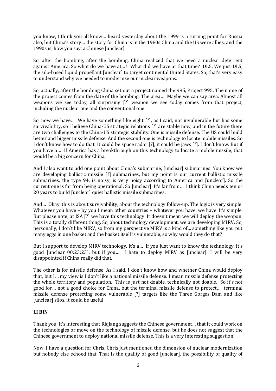you know, I think you all know… heard yesterday about the 1999 is a turning point for Russia also, but China's story… the story for China is in the 1980s China and the US were allies, and the 1990s is, how you say, a Chinese [unclear].

So, after the bombing, after the bombing, China realized that we need a nuclear deterrent against America. So what do we have at…? What did we have at that time? DL5. We just DL5, the silo-based liquid propellant [unclear] to target continental United States. So, that's very easy to understand why we needed to modernize our nuclear weapons.

So, actually, after the bombing China set out a project named the 995, Project 995. The name of the project comes from the date of the bombing. The area… Maybe we can say area. Almost all weapons we see today, all surprising [?] weapon we see today comes from that project, including the nuclear one and the conventional one.

So, now we have… We have something like eight [?], as I said, not invulnerable but has some survivability, so I believe China-US strategic relations [?] are stable now, and in the future there are two challenges to the China-US strategic stability. One is missile defense. The US could build better and bigger missile defense. And the second one is technology to locate mobile missiles. So I don't know how to do that. It could be space radar [?], it could be jaws [?]. I don't know. But if you have a… If America has a breakthrough on this technology to locate a mobile missile, that would be a big concern for China.

And I also want to add one point about China's submarine, [unclear] submarines. You know we are developing ballistic missile [?] submarines, but my point is our current ballistic missile submarines, the type 94, is noisy, is very noisy according to America and [unclear]. So the current one is far from being operational. So [unclear]. It's far from… I think China needs ten or 20 years to build [unclear] quiet ballistic missile submarines.

And… Okay, this is about survivability, about the technology follow-up. The logic is very simple. Whatever you have – by you I mean other countries – whatever you have, we have. It's simple. But please note, at ISA [?] we have this technology. It doesn't mean we will deploy the weapon. This is a totally different thing. So, about technology development, we are developing MIRV. So, personally, I don't like MIRV, so from my perspective MIRV is a kind of… something like you put many eggs in one basket and the basket itself is vulnerable, so why would they do that?

But I support to develop MIRV technology. It's a… If you just want to know the technology, it's good [unclear 00:23:23], but if you… I hate to deploy MIRV as [unclear]. I will be very disappointed if China really did that.

The other is for missile defense. As I said, I don't know how and whether China would deploy that, but I… my view is I don't like a national missile defense. I mean missile defense protecting the whole territory and population. This is just not doable, technically not doable. So it's not good for… not a good choice for China, but the terminal missile defense to protect… terminal missile defense protecting some vulnerable [?] targets like the Three Gorges Dam and like [unclear] silos, it could be useful.

# **LI BIN**

Thank you. It's interesting that Riqiang suggests the Chinese government… that it could work on the technologies or move on the technology of missile defense, but he does not suggest that the Chinese government to deploy national missile defense. This is a very interesting suggestion.

Now, I have a question for Chris. Chris just mentioned the dimension of nuclear modernization but nobody else echoed that. That is the quality of good [unclear], the possibility of quality of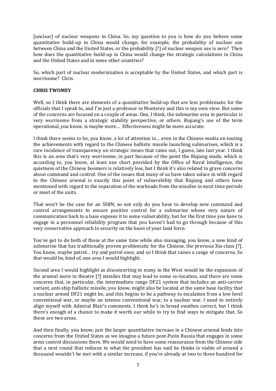[unclear] of nuclear weapons in China. So, my question to you is how do you believe some quantitative build-up in China would change, for example, the probability of nuclear use between China and the United States, or the probability [?] of nuclear weapon use is zero? Then how does the quantitative build-up in China would change the strategic calculations in China and the United States and in some other countries?

So, which part of nuclear modernization is acceptable by the United States, and which part is worrisome? Chris.

## **CHRIS TWOMEY**

Well, so I think there are elements of a quantitative build-up that are less problematic for the officials that I speak to, and I'm just a professor in Monterey and this is my own view. But some of the concerns are focused on a couple of areas. One, I think, the submarine area in particular is very worrisome from a strategic stability perspective, or others. Riqiang's use of the term operational, you know, is maybe more… Effectiveness might be more accurate.

I think there seems to be, you know, a lot of attention in… even in the Chinese media on touting the achievements with regard to the Chinese ballistic missile launching submarines, which is a rare incidence of transparency on strategic issues that came out, I guess, late last year. I think this is an area that's very worrisome, in part because of the point the Riqiang made, which is according to, you know, at least one chart provided by the Office of Naval Intelligence, the quietness of the Chinese boomers is relatively low, but I think it's also related to grave concerns about command and control. One of the issues that many of us have taken solace in with regard to the Chinese arsenal is exactly this point of vulnerability that Riqiang and others have mentioned with regard to the separation of the warheads from the missiles in most time periods or most of the units.

That won't be the case for an SSBN, so not only do you have to develop new command and control arrangements to ensure positive control for a submarine whose very nature of communication back to a base exposes it to some vulnerability, but for the first time you have to engage in a personnel reliability program that you haven't had to go through because of this very conservative approach to security on the basis of your land force.

You've got to do both of those at the same time while also managing, you know, a new kind of submarine that has traditionally proven problematic for the Chinese, the previous Xia-class [?]. You know, maybe patrol… try and patrol once, and so I think that raises a range of concerns. So that would be, kind of, one area I would highlight.

Second area I would highlight as disconcerting to many in the West would be the expansion of the arsenal more in theatre [?] missiles that may lead to some co-location, and there are some concerns that, in particular, the intermediate range DF21 system that includes an anti-carrier variant, anti-ship ballistic missile, you know, might also be located at the same base facility that a nuclear armed DF21 might be, and this begins to be a pathway to escalation from a low level conventional war, or maybe an intense conventional war, to a nuclear war. I need to entirely align myself with Admiral Blair's comments. I think he's in broad swathes correct, but I think there's enough of a chance to make it worth our while to try to find ways to mitigate that. So those are two areas.

And then finally, you know, just the larger quantitative increase in a Chinese arsenal feeds into concerns from the United States as we imagine a future post-Putin Russia that engages in some arms control discussions there. We would need to have some reassurance from the Chinese side that a next round that reduces to what the president has said he thinks is viable of around a thousand wouldn't be met with a similar increase, if you're already at two to three hundred for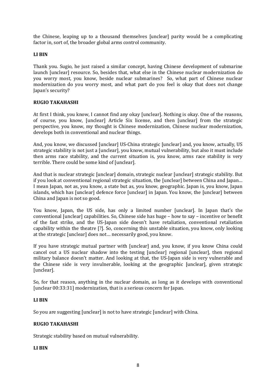the Chinese, leaping up to a thousand themselves [unclear] parity would be a complicating factor in, sort of, the broader global arms control community.

## **LI BIN**

Thank you. Sugio, he just raised a similar concept, having Chinese development of submarine launch [unclear] resource. So, besides that, what else in the Chinese nuclear modernization do you worry most, you know, beside nuclear submarines? So, what part of Chinese nuclear modernization do you worry most, and what part do you feel is okay that does not change Japan's security?

## **RUGIO TAKAHASHI**

At first I think, you know, I cannot find any okay [unclear]. Nothing is okay. One of the reasons, of course, you know, [unclear] Article Six license, and then [unclear] from the strategic perspective, you know, my thought is Chinese modernization, Chinese nuclear modernization, develops both in conventional and nuclear things.

And, you know, we discussed [unclear] US-China strategic [unclear] and, you know, actually, US strategic stability is not just a [unclear], you know, mutual vulnerability, but also it must include then arms race stability, and the current situation is, you know, arms race stability is very terrible. There could be some kind of [unclear].

And that is nuclear strategic [unclear] domain, strategic nuclear [unclear] strategic stability. But if you look at conventional regional strategic situation, the [unclear] between China and Japan… I mean Japan, not as, you know, a state but as, you know, geographic. Japan is, you know, Japan islands, which has [unclear] defence force [unclear] in Japan. You know, the [unclear] between China and Japan is not so good.

You know, Japan, the US side, has only a limited number [unclear]. In Japan that's the conventional [unclear] capabilities. So, Chinese side has huge – how to say – incentive or benefit of the fast strike, and the US-Japan side doesn't have retaliation, conventional retaliation capability within the theatre [?]. So, concerning this unstable situation, you know, only looking at the strategic [unclear] does not… necessarily good, you know.

If you have strategic mutual partner with [unclear] and, you know, if you know China could cancel out a US nuclear shadow into the testing [unclear] regional [unclear], then regional military balance doesn't matter. And looking at that, the US-Japan side is very vulnerable and the Chinese side is very invulnerable, looking at the geographic [unclear], given strategic [unclear].

So, for that reason, anything in the nuclear domain, as long as it develops with conventional [unclear 00:33:31] modernization, that is a serious concern for Japan.

#### **LI BIN**

So you are suggesting [unclear] is not to have strategic [unclear] with China.

# **RUGIO TAKAHASHI**

Strategic stability based on mutual vulnerability.

#### **LI BIN**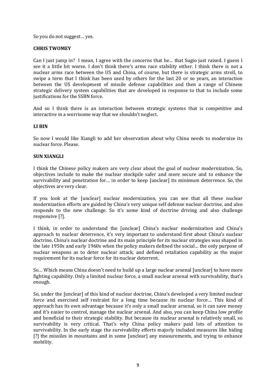So you do not suggest… yes.

# **CHRIS TWOMEY**

Can I just jump in? I mean, I agree with the concerns that he… that Sugio just raised. I guess I see it a little bit worse. I don't think there's arms race stability either. I think there is not a nuclear arms race between the US and China, of course, but there is strategic arms stroll, to swipe a term that I think has been used by others for the last 20 or so years, an interaction between the US development of missile defense capabilities and then a range of Chinese strategic delivery system capabilities that are developed in response to that to include some justifications for the SSBN force.

And so I think there is an interaction between strategic systems that is competitive and interactive in a worrisome way that we shouldn't neglect.

## **LI BIN**

So now I would like Xiangli to add her observation about why China needs to modernize its nuclear force. Please.

## **SUN XIANGLI**

I think the Chinese policy makers are very clear about the goal of nuclear modernization. So, objectives include to make the nuclear stockpile safer and more secure and to enhance the survivability and penetration for… in order to keep [unclear] its minimum deterrence. So, the objectives are very clear.

If you look at the [unclear] nuclear modernization, you can see that all these nuclear modernization efforts are guided by China's very unique self defense nuclear doctrine, and also responds to the new challenge. So it's some kind of doctrine driving and also challenge responsive [?].

I think, in order to understand the [unclear] China's nuclear modernization and China's approach to nuclear deterrence, it's very important to understand first about China's nuclear doctrine. China's nuclear doctrine and its main principle for its nuclear strategies was shaped in the late 1950s and early 1960s when the policy makers defined the social… the only purpose of nuclear weapons as to deter nuclear attack, and defined retaliation capability as the major requirement for its nuclear force for its nuclear deterrent.

So… Which means China doesn't need to build up a large nuclear arsenal [unclear] to have more fighting capability. Only a limited nuclear force, a small nuclear arsenal with survivability, that's enough.

So, under the [unclear] of this kind of nuclear doctrine, China's developed a very limited nuclear force and exercised self restraint for a long time because its nuclear force… This kind of approach has its own advantage because it's only a small nuclear arsenal, so it can save money and it's easier to control, manage the nuclear arsenal. And also, you can keep China low profile and beneficial to their strategic stability. But because its nuclear arsenal is relatively small, so survivability is very critical. That's why China policy makers paid lots of attention to survivability. In the early stage the survivability efforts majorly included measures like hiding [?] the missiles in mountains and in some [unclear] any measurements, and trying to enhance mobility.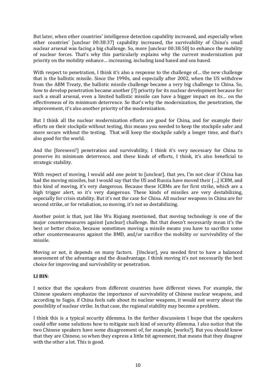But later, when other countries' intelligence detection capability increased, and especially when other countries' [unclear 00:38:37] capability increased, the survivability of China's small nuclear arsenal was facing a big challenge. So, more [unclear 00:38:50] to enhance the mobility of nuclear forces. That's why this particularly explains why the current modernization put priority on the mobility enhance… increasing, including land based and sea based.

With respect to penetration, I think it's also a response to the challenge of... the new challenge that is the ballistic missile. Since the 1990s, and especially after 2002, when the US withdrew from the ABM Treaty, the ballistic missile challenge became a very big challenge to China. So, how to develop penetration became another [?] priority for its nuclear development because for such a small arsenal, even a limited ballistic missile can have a bigger impact on its… on the effectiveness of its minimum deterrence. So that's why the modernization, the penetration, the improvement, it's also another priority of the modernization.

But I think all the nuclear modernization efforts are good for China, and for example their efforts on their stockpile without testing, this means you needed to keep the stockpile safer and more secure without the testing. That will keep the stockpile safely a longer time, and that's also good for the world.

And the [foreseen?] penetration and survivability, I think it's very necessary for China to preserve its minimum deterrence, and these kinds of efforts, I think, it's also beneficial to strategic stability.

With respect of moving, I would add one point to [unclear], that yes, I'm not clear if China has had the moving missiles, but I would say that the US and Russia have moved their […] ICBM, and this kind of moving, it's very dangerous. Because these ICBMs are for first strike, which are a high trigger alert, so it's very dangerous. These kinds of missiles are very destabilizing, especially for crisis stability. But it's not the case for China. All nuclear weapons in China are for second strike, or for retaliation, so moving, it's not so destabilizing.

Another point is that, just like Wu Riqiang mentioned, that moving technology is one of the major countermeasures against [unclear] challenge. But that doesn't necessarily mean it's the best or better choice, because sometimes moving a missile means you have to sacrifice some other countermeasures against the BMD, and/or sacrifice the mobility or survivability of the missile.

Moving or not, it depends on many factors. [Unclear], you needed first to have a balanced assessment of the advantage and the disadvantage. I think moving it's not necessarily the best choice for improving and survivability or penetration.

# **LI BIN**:

I notice that the speakers from different countries have different views. For example, the Chinese speakers emphasize the importance of survivability of Chinese nuclear weapons, and according to Sugio, if China feels safe about its nuclear weapons, it would not worry about the possibility of nuclear strike. In that case, the regional stability may become a problem.

I think this is a typical security dilemma. In the further discussions I hope that the speakers could offer some solutions how to mitigate such kind of security dilemma. I also notice that the two Chinese speakers have some disagreement of, for example, [works?]. But you should know that they are Chinese, so when they express a little bit agreement, that means that they disagree with the other a lot. This is good.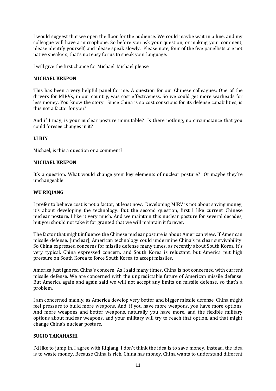I would suggest that we open the floor for the audience. We could maybe wait in a line, and my colleague will have a microphone. So before you ask your question, or making your comment, please identify yourself, and please speak slowly. Please note, four of the five panellists are not native speakers, that's not easy for us to speak your language.

I will give the first chance for Michael. Michael please.

## **MICHAEL KREPON**

This has been a very helpful panel for me. A question for our Chinese colleagues: One of the drivers for MIRVs, in our country, was cost effectiveness. So we could get more warheads for less money. You know the story. Since China is so cost conscious for its defense capabilities, is this not a factor for you?

And if I may, is your nuclear posture immutable? Is there nothing, no circumstance that you could foresee changes in it?

# **LI BIN**

Michael, is this a question or a comment?

## **MICHAEL KREPON**

It's a question. What would change your key elements of nuclear posture? Or maybe they're unchangeable.

## **WU RIQIANG**

I prefer to believe cost is not a factor, at least now. Developing MIRV is not about saving money, it's about developing the technology. But the second question, first I like current Chinese nuclear posture, I like it very much. And we maintain this nuclear posture for several decades, but you should not take it for granted that we will maintain it forever.

The factor that might influence the Chinese nuclear posture is about American view. If American missile defense, [unclear], American technology could undermine China's nuclear survivability. So China expressed concerns for missile defense many times, as recently about South Korea, it's very typical. China expressed concern, and South Korea is reluctant, but America put high pressure on South Korea to force South Korea to accept missiles.

America just ignored China's concern. As I said many times, China is not concerned with current missile defense. We are concerned with the unpredictable future of American missile defense. But America again and again said we will not accept any limits on missile defense, so that's a problem.

I am concerned mainly, as America develop very better and bigger missile defense, China might feel pressure to build more weapons. And, if you have more weapons, you have more options. And more weapons and better weapons, naturally you have more, and the flexible military options about nuclear weapons, and your military will try to reach that option, and that might change China's nuclear posture.

#### **SUGIO TAKAHASHI**

I'd like to jump in. I agree with Riqiang. I don't think the idea is to save money. Instead, the idea is to waste money. Because China is rich, China has money, China wants to understand different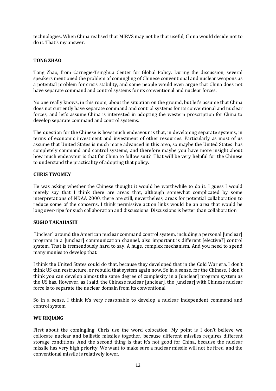technologies. When China realised that MIRVS may not be that useful, China would decide not to do it. That's my answer.

# **TONG ZHAO**

Tong Zhao, from Carnegie-Tsinghua Center for Global Policy. During the discussion, several speakers mentioned the problem of comingling of Chinese conventional and nuclear weapons as a potential problem for crisis stability, and some people would even argue that China does not have separate command and control systems for its conventional and nuclear forces.

No one really knows, in this room, about the situation on the ground, but let's assume that China does not currently have separate command and control systems for its conventional and nuclear forces, and let's assume China is interested in adopting the western proscription for China to develop separate command and control systems.

The question for the Chinese is how much endeavour is that, in developing separate systems, in terms of economic investment and investment of other resources. Particularly as most of us assume that United States is much more advanced in this area, so maybe the United States has completely command and control systems, and therefore maybe you have more insight about how much endeavour is that for China to follow suit? That will be very helpful for the Chinese to understand the practicality of adopting that policy.

#### **CHRIS TWOMEY**

He was asking whether the Chinese thought it would be worthwhile to do it. I guess I would merely say that I think there are areas that, although somewhat complicated by some interpretations of NDAA 2000, there are still, nevertheless, areas for potential collaboration to reduce some of the concerns. I think permissive action links would be an area that would be long over-ripe for such collaboration and discussions. Discussions is better than collaboration.

#### **SUGIO TAKAHASHI**

[Unclear] around the American nuclear command control system, including a personal [unclear] program in a [unclear] communication channel, also important is different [elective?] control system. That is tremendously hard to say. A huge, complex mechanism. And you need to spend many monies to develop that.

I think the United States could do that, because they developed that in the Cold War era. I don't think US can restructure, or rebuild that system again now. So in a sense, for the Chinese, I don't think you can develop almost the same degree of complexity in a [unclear] program system as the US has. However, as I said, the Chinese nuclear [unclear], the [unclear] with Chinese nuclear force is to separate the nuclear domain from its conventional.

So in a sense, I think it's very reasonable to develop a nuclear independent command and control system.

#### **WU RIQIANG**

First about the comingling, Chris use the word colocation. My point is I don't believe we collocate nuclear and ballistic missiles together, because different missiles requires different storage conditions. And the second thing is that it's not good for China, because the nuclear missile has very high priority. We want to make sure a nuclear missile will not be fired, and the conventional missile is relatively lower.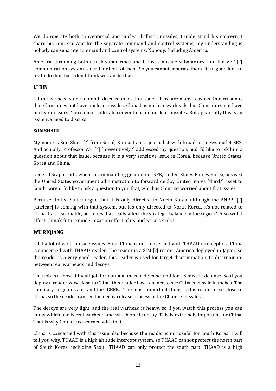We do operate both conventional and nuclear ballistic missiles, I understand his concern, I share his concern. And for the separate command and control systems, my understanding is nobody can separate command and control systems. Nobody. Including America.

America is running both attack submarines and ballistic missile submarines, and the VFF [?] communication system is used for both of them. So you cannot separate them. It's a good idea to try to do that, but I don't think we can do that.

# **LI BIN**

I think we need some in depth discussion on this issue. There are many reasons. One reason is that China does not have nuclear missiles. China has nuclear warheads, but China does not have nuclear missiles. You cannot collocate convention and nuclear missiles. But apparently this is an issue we need to discuss.

# **SON SHARI**

My name is Son Shari [?] from Seoul, Korea. I am a journalist with broadcast news outlet SBS. And actually, Professor Wu [?] [preventively?] addressed my question, and I'd like to ask him a question about that issue, because it is a very sensitive issue in Korea, because United States, Korea and China.

General Scaparrotti, who is a commanding general in USFK, United States Forces Korea, advised the United States government administration to forward deploy United States [third?] asset to South Korea. I'd like to ask a question to you that, which is China so worried about that issue?

Because United States argue that it is only directed to North Korea, although the ANPPI [?] [unclear] is coming with that system, but it's only directed to North Korea, it's not related to China. Is it reasonable, and does that really affect the strategic balance in the region? Also will it affect China's future modernization effort of its nuclear arsenals?

# **WU RIQIANG**

I did a lot of work on side issues. First, China is not concerned with THAAD interceptors. China is concerned with THAAD reader. The reader is a SIM [?] reader America deployed in Japan. So the reader is a very good reader, this reader is used for target discrimination, to discriminate between real warheads and decoys.

This job is a most difficult job for national missile defense, and for US missile defense. So if you deploy a reader very close to China, this reader has a chance to see China's missile launches. The summary large missiles and the ICBMs. The most important thing is, this reader is so close to China, so the reader can see the decoy release process of the Chinese missiles.

The decoys are very light, and the real warhead is heavy, so if you watch this process you can know which one is real warhead and which one is decoy. This is extremely important for China. That is why China is concerned with that.

China is concerned with this issue also because the reader is not useful for South Korea. I will tell you why. THAAD is a high altitude intercept system, so THAAD cannot protect the north part of South Korea, including Seoul. THAAD can only protect the south part. THAAD is a high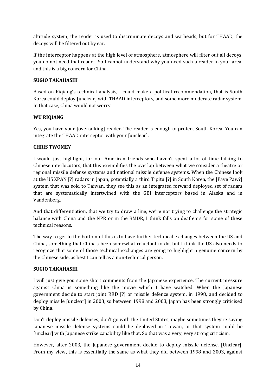altitude system, the reader is used to discriminate decoys and warheads, but for THAAD, the decoys will be filtered out by ear.

If the interceptor happens at the high level of atmosphere, atmosphere will filter out all decoys, you do not need that reader. So I cannot understand why you need such a reader in your area, and this is a big concern for China.

# **SUGIO TAKAHASHI**

Based on Riqiang's technical analysis, I could make a political recommendation, that is South Korea could deploy [unclear] with THAAD interceptors, and some more moderate radar system. In that case, China would not worry.

# **WU RIQIANG**

Yes, you have your [overtalking] reader. The reader is enough to protect South Korea. You can integrate the THAAD interceptor with your [unclear].

# **CHRIS TWOMEY**

I would just highlight, for our American friends who haven't spent a lot of time talking to Chinese interlocutors, that this exemplifies the overlap between what we consider a theatre or regional missile defense systems and national missile defense systems. When the Chinese look at the US XPAN [?] radars in Japan, potentially a third Tipitu [?] in South Korea, the [Pave Paw?] system that was sold to Taiwan, they see this as an integrated forward deployed set of radars that are systematically intertwined with the GBI interceptors based in Alaska and in Vandenberg.

And that differentiation, that we try to draw a line, we're not trying to challenge the strategic balance with China and the NPR or in the BMDR, I think falls on deaf ears for some of these technical reasons.

The way to get to the bottom of this is to have further technical exchanges between the US and China, something that China's been somewhat reluctant to do, but I think the US also needs to recognize that some of those technical exchanges are going to highlight a genuine concern by the Chinese side, as best I can tell as a non-technical person.

# **SUGIO TAKAHASHI**

I will just give you some short comments from the Japanese experience. The current pressure against China is something like the movie which I have watched. When the Japanese government decide to start joint RRD [?] or missile defence system, in 1998, and decided to deploy missile [unclear] in 2003, so between 1998 and 2003, Japan has been strongly criticised by China.

Don't deploy missile defenses, don't go with the United States, maybe sometimes they're saying Japanese missile defense systems could be deployed in Taiwan, or that system could be [unclear] with Japanese strike capability like that. So that was a very, very strong criticism.

However, after 2003, the Japanese government decide to deploy missile defense. [Unclear]. From my view, this is essentially the same as what they did between 1998 and 2003, against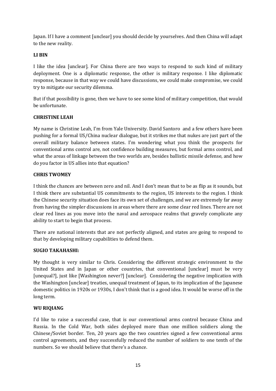Japan. If I have a comment [unclear] you should decide by yourselves. And then China will adapt to the new reality.

# **LI BIN**

I like the idea [unclear]. For China there are two ways to respond to such kind of military deployment. One is a diplomatic response, the other is military response. I like diplomatic response, because in that way we could have discussions, we could make compromise, we could try to mitigate our security dilemma.

But if that possibility is gone, then we have to see some kind of military competition, that would be unfortunate.

# **CHRISTINE LEAH**

My name is Christine Leah, I'm from Yale University. David Santoro and a few others have been pushing for a formal US/China nuclear dialogue, but it strikes me that nukes are just part of the overall military balance between states. I'm wondering what you think the prospects for conventional arms control are, not confidence building measures, but formal arms control, and what the areas of linkage between the two worlds are, besides ballistic missile defense, and how do you factor in US allies into that equation?

# **CHRIS TWOMEY**

I think the chances are between zero and nil. And I don't mean that to be as flip as it sounds, but I think there are substantial US commitments to the region, US interests to the region. I think the Chinese security situation does face its own set of challenges, and we are extremely far away from having the simpler discussions in areas where there are some clear red lines. There are not clear red lines as you move into the naval and aerospace realms that gravely complicate any ability to start to begin that process.

There are national interests that are not perfectly aligned, and states are going to respond to that by developing military capabilities to defend them.

# **SUGIO TAKAHASHI:**

My thought is very similar to Chris. Considering the different strategic environment to the United States and in Japan or other countries, that conventional [unclear] must be very [unequal?], just like [Washington never?] [unclear]. Considering the negative implication with the Washington [unclear] treaties, unequal treatment of Japan, to its implication of the Japanese domestic politics in 1920s or 1930s, I don't think that is a good idea. It would be worse off in the long term.

# **WU RIQIANG**

I'd like to raise a successful case, that is our conventional arms control because China and Russia. In the Cold War, both sides deployed more than one million soldiers along the Chinese/Soviet border. Ten, 20 years ago the two countries signed a few conventional arms control agreements, and they successfully reduced the number of soldiers to one tenth of the numbers. So we should believe that there's a chance.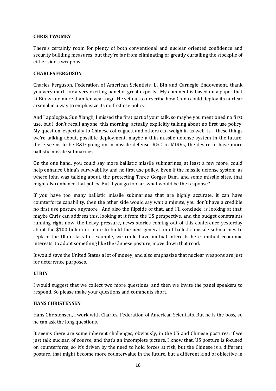# **CHRIS TWOMEY**

There's certainly room for plenty of both conventional and nuclear oriented confidence and security building measures, but they're far from eliminating or greatly curtailing the stockpile of either side's weapons.

# **CHARLES FERGUSON**

Charles Ferguson, Federation of American Scientists. Li Bin and Carnegie Endowment, thank you very much for a very exciting panel of great experts. My comment is based on a paper that Li Bin wrote more than ten years ago. He set out to describe how China could deploy its nuclear arsenal in a way to emphasize its no first use policy.

And I apologize, Sun Xiangli, I missed the first part of your talk, so maybe you mentioned no first use, but I don't recall anyone, this morning, actually explicitly talking about no first use policy. My question, especially to Chinese colleagues, and others can weigh in as well, is – these things we're talking about, possible deployment, maybe a thin missile defense system in the future, there seems to be R&D going on in missile defense, R&D in MIRVs, the desire to have more ballistic missile submarines.

On the one hand, you could say more ballistic missile submarines, at least a few more, could help enhance China's survivability and no first use policy. Even if the missile defense system, as where John was talking about, the protecting Three Gorges Dam, and some missile sites, that might also enhance that policy. But if you go too far, what would be the response?

If you have too many ballistic missile submarines that are highly accurate, it can have counterforce capability, then the other side would say wait a minute, you don't have a credible no first use posture anymore. And also the flipside of that, and I'll conclude, is looking at that, maybe Chris can address this, looking at it from the US perspective, and the budget constraints running right now, the heavy pressure, news stories coming out of this conference yesterday about the \$100 billion or more to build the next generation of ballistic missile submarines to replace the Ohio class for example, we could have mutual interests here, mutual economic interests, to adopt something like the Chinese posture, move down that road.

It would save the United States a lot of money, and also emphasize that nuclear weapons are just for deterrence purposes.

# **LI BIN**

I would suggest that we collect two more questions, and then we invite the panel speakers to respond. So please make your questions and comments short.

# **HANS CHRISTENSEN**

Hans Christensen, I work with Charles, Federation of American Scientists. But he is the boss, so he can ask the long questions.

It seems there are some inherent challenges, obviously, in the US and Chinese postures, if we just talk nuclear, of course, and that's an incomplete picture, I know that. US posture is focused on counterforce, so it's driven by the need to hold forces at risk, but the Chinese is a different posture, that might become more countervalue in the future, but a different kind of objective in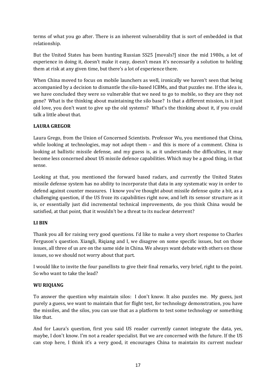terms of what you go after. There is an inherent vulnerability that is sort of embedded in that relationship.

But the United States has been hunting Russian SS25 [movals?] since the mid 1980s, a lot of experience in doing it, doesn't make it easy, doesn't mean it's necessarily a solution to holding them at risk at any given time, but there's a lot of experience there.

When China moved to focus on mobile launchers as well, ironically we haven't seen that being accompanied by a decision to dismantle the silo-based ICBMs, and that puzzles me. If the idea is, we have concluded they were so vulnerable that we need to go to mobile, so they are they not gone? What is the thinking about maintaining the silo base? Is that a different mission, is it just old love, you don't want to give up the old systems? What's the thinking about it, if you could talk a little about that.

# **LAURA GREGOR**

Laura Grego, from the Union of Concerned Scientists. Professor Wu, you mentioned that China, while looking at technologies, may not adopt them – and this is more of a comment. China is looking at ballistic missile defense, and my guess is, as it understands the difficulties, it may become less concerned about US missile defence capabilities. Which may be a good thing, in that sense.

Looking at that, you mentioned the forward based radars, and currently the United States missile defense system has no ability to incorporate that data in any systematic way in order to defend against counter measures. I know you've thought about missile defense quite a bit, as a challenging question, if the US froze its capabilities right now, and left its sensor structure as it is, or essentially just did incremental technical improvements, do you think China would be satisfied, at that point, that it wouldn't be a threat to its nuclear deterrent?

# **LI BIN**

Thank you all for raising very good questions. I'd like to make a very short response to Charles Ferguson's question. Xiangli, Riqiang and I, we disagree on some specific issues, but on those issues, all three of us are on the same side in China. We always want debate with others on those issues, so we should not worry about that part.

I would like to invite the four panellists to give their final remarks, very brief, right to the point. So who want to take the lead?

# **WU RIQIANG**

To answer the question why maintain silos: I don't know. It also puzzles me. My guess, just purely a guess, we want to maintain that for flight test, for technology demonstration, you have the missiles, and the silos, you can use that as a platform to test some technology or something like that.

And for Laura's question, first you said US reader currently cannot integrate the data, yes, maybe, I don't know. I'm not a reader specialist. But we are concerned with the future. If the US can stop here, I think it's a very good, it encourages China to maintain its current nuclear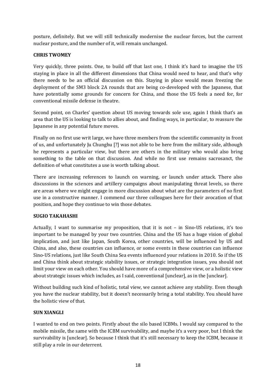posture, definitely. But we will still technically modernise the nuclear forces, but the current nuclear posture, and the number of it, will remain unchanged.

# **CHRIS TWOMEY**

Very quickly, three points. One, to build off that last one, I think it's hard to imagine the US staying in place in all the different dimensions that China would need to hear, and that's why there needs to be an official discussion on this. Staying in place would mean freezing the deployment of the SM3 block 2A rounds that are being co-developed with the Japanese, that have potentially some grounds for concern for China, and those the US feels a need for, for conventional missile defense in theatre.

Second point, on Charles' question about US moving towards sole use, again I think that's an area that the US is looking to talk to allies about, and finding ways, in particular, to reassure the Japanese in any potential future moves.

Finally on no first use writ large, we have three members from the scientific community in front of us, and unfortunately Ju Chunghu [?] was not able to be here from the military side, although he represents a particular view, but there are others in the military who would also bring something to the table on that discussion. And while no first use remains sacrosanct, the definition of what constitutes a use is worth talking about.

There are increasing references to launch on warning, or launch under attack. There also discussions in the sciences and artillery campaigns about manipulating threat levels, so there are areas where we might engage in more discussion about what are the parameters of no first use in a constructive manner. I commend our three colleagues here for their avocation of that position, and hope they continue to win those debates.

# **SUGIO TAKAHASHI**

Actually, I want to summarise my proposition, that it is not – in Sino-US relations, it's too important to be managed by your two countries. China and the US has a huge vision of global implication, and just like Japan, South Korea, other countries, will be influenced by US and China, and also, these countries can influence, or some events in these countries can influence Sino-US relations, just like South China Sea events influenced your relations in 2010. So if the US and China think about strategic stability issues, or strategic integration issues, you should not limit your view on each other. You should have more of a comprehensive view, or a holistic view about strategic issues which includes, as I said, conventional [unclear], as in the [unclear].

Without building such kind of holistic, total view, we cannot achieve any stability. Even though you have the nuclear stability, but it doesn't necessarily bring a total stability. You should have the holistic view of that.

# **SUN XIANGLI**

I wanted to end on two points. Firstly about the silo based ICBMs. I would say compared to the mobile missile, the same with the ICBM survivability, and maybe it's a very poor, but I think the survivability is [unclear]. So because I think that it's still necessary to keep the ICBM, because it still play a role in our deterrent.